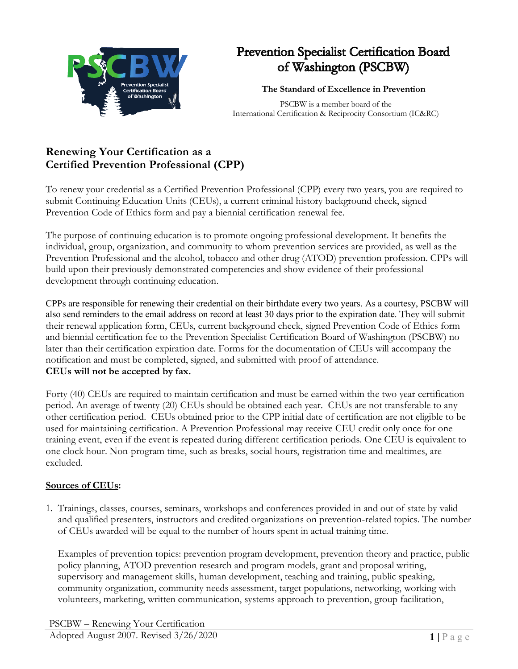

## **Prevention Specialist Certification Board** of Washington (PSCBW)

## **The Standard of Excellence in Prevention**

PSCBW is a member board of the International Certification & Reciprocity Consortium (IC&RC)

## **Renewing Your Certification as a Certified Prevention Professional (CPP)**

To renew your credential as a Certified Prevention Professional (CPP) every two years, you are required to submit Continuing Education Units (CEUs), a current criminal history background check, signed Prevention Code of Ethics form and pay a biennial certification renewal fee.

The purpose of continuing education is to promote ongoing professional development. It benefits the individual, group, organization, and community to whom prevention services are provided, as well as the Prevention Professional and the alcohol, tobacco and other drug (ATOD) prevention profession. CPPs will build upon their previously demonstrated competencies and show evidence of their professional development through continuing education.

CPPs are responsible for renewing their credential on their birthdate every two years. As a courtesy, PSCBW will also send reminders to the email address on record at least 30 days prior to the expiration date. They will submit their renewal application form, CEUs, current background check, signed Prevention Code of Ethics form and biennial certification fee to the Prevention Specialist Certification Board of Washington (PSCBW) no later than their certification expiration date. Forms for the documentation of CEUs will accompany the notification and must be completed, signed, and submitted with proof of attendance. **CEUs will not be accepted by fax.**

Forty (40) CEUs are required to maintain certification and must be earned within the two year certification period. An average of twenty (20) CEUs should be obtained each year. CEUs are not transferable to any other certification period. CEUs obtained prior to the CPP initial date of certification are not eligible to be used for maintaining certification. A Prevention Professional may receive CEU credit only once for one training event, even if the event is repeated during different certification periods. One CEU is equivalent to one clock hour. Non-program time, such as breaks, social hours, registration time and mealtimes, are excluded.

## **Sources of CEUs:**

1. Trainings, classes, courses, seminars, workshops and conferences provided in and out of state by valid and qualified presenters, instructors and credited organizations on prevention-related topics. The number of CEUs awarded will be equal to the number of hours spent in actual training time.

Examples of prevention topics: prevention program development, prevention theory and practice, public policy planning, ATOD prevention research and program models, grant and proposal writing, supervisory and management skills, human development, teaching and training, public speaking, community organization, community needs assessment, target populations, networking, working with volunteers, marketing, written communication, systems approach to prevention, group facilitation,